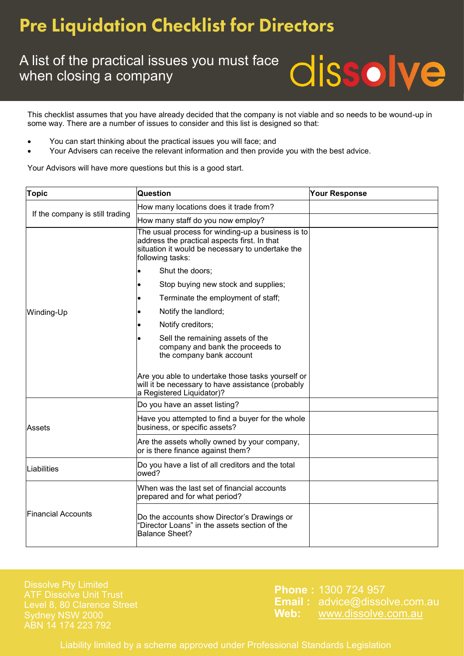## **Pre Liquidation Checklist for Directors**

#### A list of the practical issues you must face when closing a company

This checklist assumes that you have already decided that the company is not viable and so needs to be wound-up in some way. There are a number of issues to consider and this list is designed so that:

- You can start thinking about the practical issues you will face; and
- Your Advisers can receive the relevant information and then provide you with the best advice.

Your Advisors will have more questions but this is a good start.

| <b>Topic</b>                    | <b>Question</b>                                                                                                                                                           | <b>Your Response</b> |
|---------------------------------|---------------------------------------------------------------------------------------------------------------------------------------------------------------------------|----------------------|
| If the company is still trading | How many locations does it trade from?                                                                                                                                    |                      |
|                                 | How many staff do you now employ?                                                                                                                                         |                      |
| Winding-Up                      | The usual process for winding-up a business is to<br>address the practical aspects first. In that<br>situation it would be necessary to undertake the<br>following tasks: |                      |
|                                 | Shut the doors;                                                                                                                                                           |                      |
|                                 | Stop buying new stock and supplies;                                                                                                                                       |                      |
|                                 | Terminate the employment of staff;                                                                                                                                        |                      |
|                                 | Notify the landlord;                                                                                                                                                      |                      |
|                                 | Notify creditors;                                                                                                                                                         |                      |
|                                 | Sell the remaining assets of the<br>company and bank the proceeds to<br>the company bank account                                                                          |                      |
|                                 | Are you able to undertake those tasks yourself or<br>will it be necessary to have assistance (probably<br>a Registered Liquidator)?                                       |                      |
| Assets                          | Do you have an asset listing?                                                                                                                                             |                      |
|                                 | Have you attempted to find a buyer for the whole<br>business, or specific assets?                                                                                         |                      |
|                                 | Are the assets wholly owned by your company,<br>or is there finance against them?                                                                                         |                      |
| Liabilities                     | Do you have a list of all creditors and the total<br>owed?                                                                                                                |                      |
| <b>Financial Accounts</b>       | When was the last set of financial accounts<br>prepared and for what period?                                                                                              |                      |
|                                 | Do the accounts show Director's Drawings or<br>'Director Loans" in the assets section of the<br><b>Balance Sheet?</b>                                                     |                      |

Level 8, 80 Clarence Street ABN 14 174 223 792

**Phone :** 1300 724 957 **Email :** advice@dissolve.com.au **Web:** www.dissolve.com.au

**dissolve** 

Liability limited by a scheme approved under Professional Standards Legislation